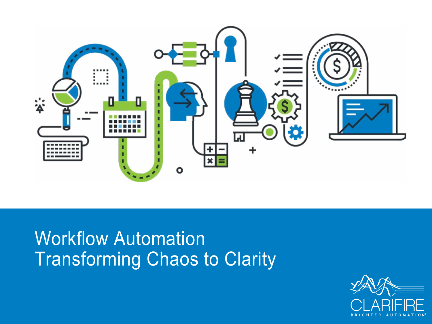

# Workflow Automation Transforming Chaos to Clarity

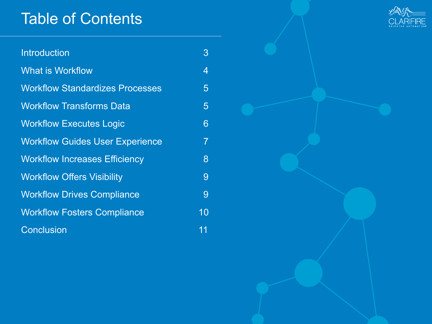## Table of Contents

| <b>Introduction</b>                    | 3              |
|----------------------------------------|----------------|
| <b>What is Workflow</b>                | $\overline{4}$ |
| <b>Workflow Standardizes Processes</b> | 5              |
| <b>Workflow Transforms Data</b>        | 5              |
| <b>Workflow Executes Logic</b>         | 6              |
| <b>Workflow Guides User Experience</b> | $\overline{7}$ |
| <b>Workflow Increases Efficiency</b>   | 8              |
| <b>Workflow Offers Visibility</b>      | 9              |
| <b>Workflow Drives Compliance</b>      | 9              |
| <b>Workflow Fosters Compliance</b>     | 10             |
| <b>Conclusion</b>                      | 11             |

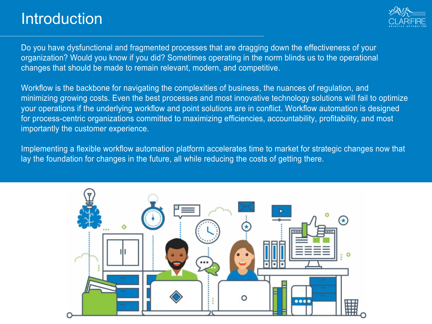### Introduction



Do you have dysfunctional and fragmented processes that are dragging down the effectiveness of your organization? Would you know if you did? Sometimes operating in the norm blinds us to the operational changes that should be made to remain relevant, modern, and competitive.

Workflow is the backbone for navigating the complexities of business, the nuances of regulation, and minimizing growing costs. Even the best processes and most innovative technology solutions will fail to optimize your operations if the underlying workflow and point solutions are in conflict. Workflow automation is designed for process-centric organizations committed to maximizing efficiencies, accountability, profitability, and most importantly the customer experience.

Implementing a flexible workflow automation platform accelerates time to market for strategic changes now that lay the foundation for changes in the future, all while reducing the costs of getting there.

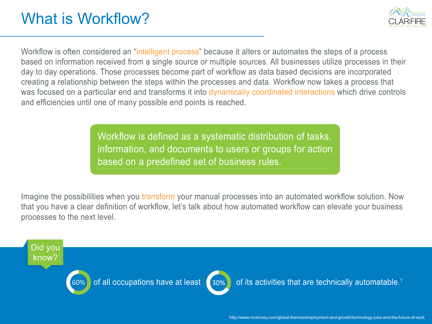# What is Workflow?



Workflow is often considered an "intelligent process" because it alters or automates the steps of a process based on information received from a single source or multiple sources. All businesses utilize processes in their day to day operations. Those processes become part of workflow as data based decisions are incorporated creating a relationship between the steps within the processes and data. Workflow now takes a process that was focused on a particular end and transforms it into dynamically coordinated interactions which drive controls and efficiencies until one of many possible end points is reached.

> Workflow is defined as a systematic distribution of tasks, information, and documents to users or groups for action based on a predefined set of business rules.

Imagine the possibilities when you transform your manual processes into an automated workflow solution. Now that you have a clear definition of workflow, let's talk about how automated workflow can elevate your business processes to the next level. <sup>3</sup>

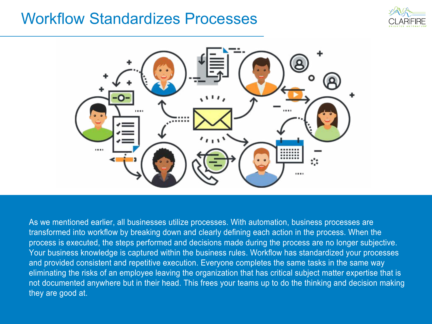#### Workflow Standardizes Processes





As we mentioned earlier, all businesses utilize processes. With automation, business processes are transformed into workflow by breaking down and clearly defining each action in the process. When the process is executed, the steps performed and decisions made during the process are no longer subjective. Your business knowledge is captured within the business rules. Workflow has standardized your processes and provided consistent and repetitive execution. Everyone completes the same tasks in the same way eliminating the risks of an employee leaving the organization that has critical subject matter expertise that is not documented anywhere but in their head. This frees your teams up to do the thinking and decision making they are good at.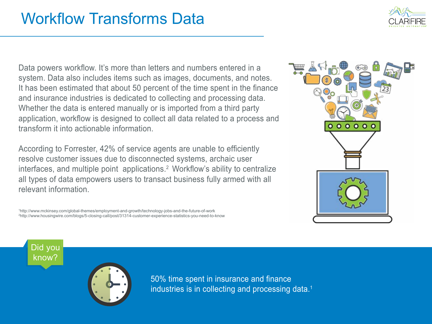Data powers workflow. It's more than letters and numbers entered in a system. Data also includes items such as images, documents, and notes. It has been estimated that about 50 percent of the time spent in the finance and insurance industries is dedicated to collecting and processing data. Whether the data is entered manually or is imported from a third party application, workflow is designed to collect all data related to a process and transform it into actionable information.

According to Forrester, 42% of service agents are unable to efficiently resolve customer issues due to disconnected systems, archaic user interfaces, and multiple point applications.<sup>2</sup> Workflow's ability to centralize all types of data empowers users to transact business fully armed with all relevant information.

1 http://www.mckinsey.com/global-themes/employment-and-growth/technology-jobs-and-the-future-of-work 2 http://www.housingwire.com/blogs/5-closing-call/post/31314-customer-experience-statistics-you-need-to-know







50% time spent in insurance and finance industries is in collecting and processing data.<sup>1</sup>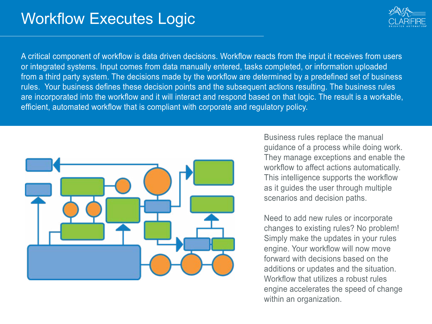

A critical component of workflow is data driven decisions. Workflow reacts from the input it receives from users or integrated systems. Input comes from data manually entered, tasks completed, or information uploaded from a third party system. The decisions made by the workflow are determined by a predefined set of business rules. Your business defines these decision points and the subsequent actions resulting. The business rules are incorporated into the workflow and it will interact and respond based on that logic. The result is a workable, efficient, automated workflow that is compliant with corporate and regulatory policy.



Business rules replace the manual guidance of a process while doing work. They manage exceptions and enable the workflow to affect actions automatically. This intelligence supports the workflow as it guides the user through multiple scenarios and decision paths.

Need to add new rules or incorporate changes to existing rules? No problem! Simply make the updates in your rules engine. Your workflow will now move forward with decisions based on the additions or updates and the situation. Workflow that utilizes a robust rules engine accelerates the speed of change within an organization.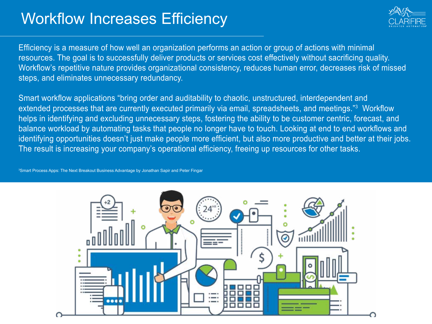# Workflow Increases Efficiency



Efficiency is a measure of how well an organization performs an action or group of actions with minimal resources. The goal is to successfully deliver products or services cost effectively without sacrificing quality. Workflow's repetitive nature provides organizational consistency, reduces human error, decreases risk of missed steps, and eliminates unnecessary redundancy.

Smart workflow applications "bring order and auditability to chaotic, unstructured, interdependent and extended processes that are currently executed primarily via email, spreadsheets, and meetings."<sup>3</sup> Workflow helps in identifying and excluding unnecessary steps, fostering the ability to be customer centric, forecast, and balance workload by automating tasks that people no longer have to touch. Looking at end to end workflows and identifying opportunities doesn't just make people more efficient, but also more productive and better at their jobs. The result is increasing your company's operational efficiency, freeing up resources for other tasks.

3 Smart Process Apps: The Next Breakout Business Advantage by Jonathan Sapir and Peter Fingar

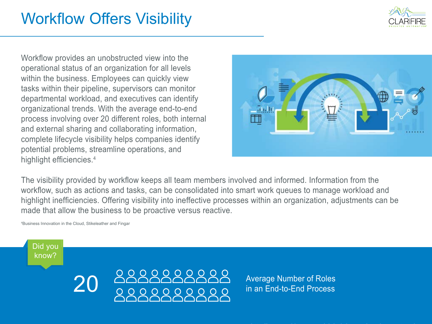

# Workflow Offers Visibility

Workflow provides an unobstructed view into the operational status of an organization for all levels within the business. Employees can quickly view tasks within their pipeline, supervisors can monitor departmental workload, and executives can identify organizational trends. With the average end-to-end process involving over 20 different roles, both internal and external sharing and collaborating information, complete lifecycle visibility helps companies identify potential problems, streamline operations, and highlight efficiencies.<sup>4</sup>



The visibility provided by workflow keeps all team members involved and informed. Information from the workflow, such as actions and tasks, can be consolidated into smart work queues to manage workload and highlight inefficiencies. Offering visibility into ineffective processes within an organization, adjustments can be made that allow the business to be proactive versus reactive.

4 Business Innovation in the Cloud, Stikeleather and Fingar

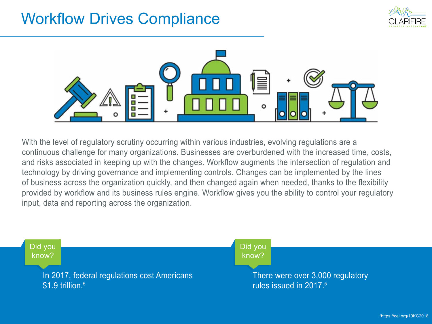# Workflow Drives Compliance





With the level of regulatory scrutiny occurring within various industries, evolving regulations are a continuous challenge for many organizations. Businesses are overburdened with the increased time, costs, and risks associated in keeping up with the changes. Workflow augments the intersection of regulation and technology by driving governance and implementing controls. Changes can be implemented by the lines of business across the organization quickly, and then changed again when needed, thanks to the flexibility provided by workflow and its business rules engine. Workflow gives you the ability to control your regulatory input, data and reporting across the organization.

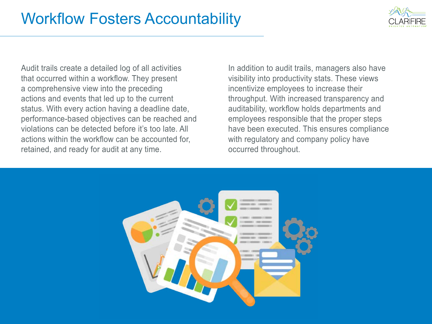

Audit trails create a detailed log of all activities that occurred within a workflow. They present a comprehensive view into the preceding actions and events that led up to the current status. With every action having a deadline date, performance-based objectives can be reached and violations can be detected before it's too late. All actions within the workflow can be accounted for, retained, and ready for audit at any time.

In addition to audit trails, managers also have visibility into productivity stats. These views incentivize employees to increase their throughput. With increased transparency and auditability, workflow holds departments and employees responsible that the proper steps have been executed. This ensures compliance with regulatory and company policy have occurred throughout.